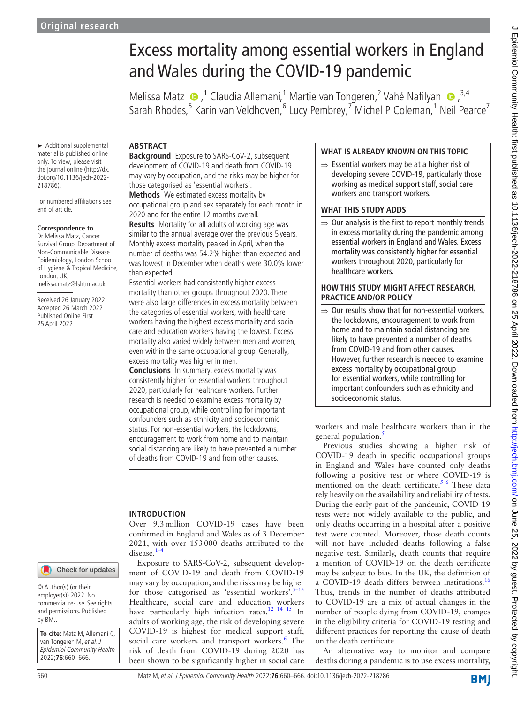► Additional supplemental material is published online only. To view, please visit the journal online [\(http://dx.](http://dx.doi.org/10.1136/jech-2022-218786) [doi.org/10.1136/jech-2022-](http://dx.doi.org/10.1136/jech-2022-218786)

For numbered affiliations see

**Correspondence to** Dr Melissa Matz, Cancer Survival Group, Department of Non-Communicable Disease Epidemiology, London School of Hygiene & Tropical Medicine,

[218786](http://dx.doi.org/10.1136/jech-2022-218786)).

end of article.

London, UK;

# Excess mortality among essential workers in England and Wales during the COVID-19 pandemic

Melissa Matz  $\bullet$ ,<sup>1</sup> Claudia Allemani,<sup>1</sup> Martie van Tongeren,<sup>2</sup> Vahé Nafilyan  $\bullet$ ,<sup>3,4</sup> Sarah Rhodes,<sup>5</sup> Karin van Veldhoven,<sup>6</sup> Lucy Pembrey,<sup>7</sup> Michel P Coleman,<sup>1</sup> Neil Pearce<sup>7</sup>

# **ABSTRACT**

**Background** Exposure to SARS-CoV-2, subsequent development of COVID-19 and death from COVID-19 may vary by occupation, and the risks may be higher for those categorised as 'essential workers'.

**Methods** We estimated excess mortality by occupational group and sex separately for each month in 2020 and for the entire 12 months overall.

similar to the annual average over the previous 5 years. Monthly excess mortality peaked in April, when the number of deaths was 54.2% higher than expected and was lowest in December when deaths were 30.0% lower than expected.

Essential workers had consistently higher excess mortality than other groups throughout 2020. There were also large differences in excess mortality between the categories of essential workers, with healthcare workers having the highest excess mortality and social care and education workers having the lowest. Excess mortality also varied widely between men and women, even within the same occupational group. Generally, excess mortality was higher in men.

**Conclusions** In summary, excess mortality was consistently higher for essential workers throughout 2020, particularly for healthcare workers. Further research is needed to examine excess mortality by occupational group, while controlling for important confounders such as ethnicity and socioeconomic status. For non-essential workers, the lockdowns, encouragement to work from home and to maintain social distancing are likely to have prevented a number of deaths from COVID-19 and from other causes.

# **INTRODUCTION**

Over 9.3million COVID-19 cases have been confirmed in England and Wales as of 3 December 2021, with over 153000 deaths attributed to the disease.[1–4](#page-6-0)

Exposure to SARS-CoV-2, subsequent development of COVID-19 and death from COVID-19 may vary by occupation, and the risks may be higher for those categorised as 'essential workers'. $5-13$ Healthcare, social care and education workers have particularly high infection rates.<sup>12</sup> <sup>14</sup> <sup>15</sup> In adults of working age, the risk of developing severe COVID-19 is highest for medical support staff, social care workers and transport workers.<sup>[6](#page-6-3)</sup> The risk of death from COVID-19 during 2020 has been shown to be significantly higher in social care

# **WHAT IS ALREADY KNOWN ON THIS TOPIC**

⇒ Essential workers may be at a higher risk of developing severe COVID-19, particularly those working as medical support staff, social care workers and transport workers.

## **WHAT THIS STUDY ADDS**

general population.<sup>[5](#page-6-1)</sup>

 $\Rightarrow$  Our analysis is the first to report monthly trends in excess mortality during the pandemic among essential workers in England and Wales. Excess mortality was consistently higher for essential workers throughout 2020, particularly for healthcare workers.

# **HOW THIS STUDY MIGHT AFFECT RESEARCH, PRACTICE AND/OR POLICY**

 $\Rightarrow$  Our results show that for non-essential workers, the lockdowns, encouragement to work from home and to maintain social distancing are likely to have prevented a number of deaths from COVID-19 and from other causes. However, further research is needed to examine excess mortality by occupational group for essential workers, while controlling for important confounders such as ethnicity and socioeconomic status.

workers and male healthcare workers than in the Previous studies showing a higher risk of COVID-19 death in specific occupational groups

in England and Wales have counted only deaths following a positive test or where COVID-19 is mentioned on the death certificate.<sup>[5 6](#page-6-1)</sup> These data rely heavily on the availability and reliability of tests. During the early part of the pandemic, COVID-19 tests were not widely available to the public, and only deaths occurring in a hospital after a positive test were counted. Moreover, those death counts will not have included deaths following a false negative test. Similarly, death counts that require a mention of COVID-19 on the death certificate may be subject to bias. In the UK, the definition of a COVID-19 death differs between institutions.<sup>[16](#page-6-4)</sup> Thus, trends in the number of deaths attributed to COVID-19 are a mix of actual changes in the number of people dying from COVID-19, changes in the eligibility criteria for COVID-19 testing and different practices for reporting the cause of death on the death certificate.

An alternative way to monitor and compare deaths during a pandemic is to use excess mortality,

**Results** Mortality for all adults of working age was

Received 26 January 2022 Accepted 26 March 2022 Published Online First 25 April 2022

melissa.matz@lshtm.ac.uk

Check for updates

© Author(s) (or their employer(s)) 2022. No commercial re-use. See rights and permissions. Published by BMJ.

**To cite:** Matz M, Allemani C, van Tongeren M, et al. J Epidemiol Community Health 2022;**76**:660–666.

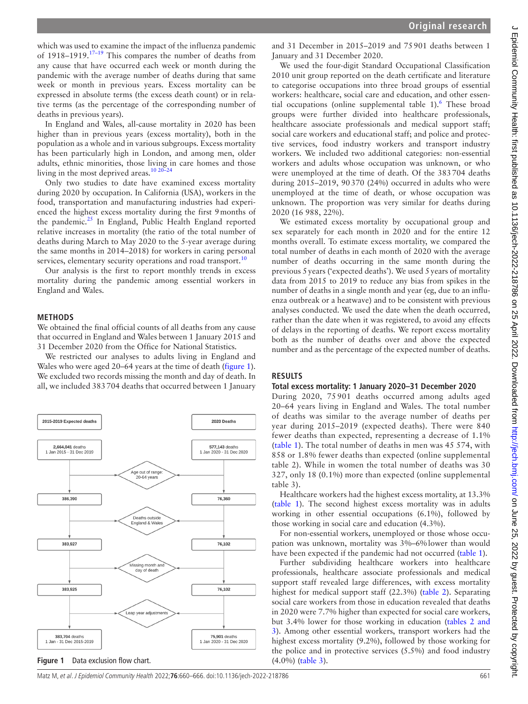which was used to examine the impact of the influenza pandemic of  $1918-1919$ .<sup>17-19</sup> This compares the number of deaths from any cause that have occurred each week or month during the pandemic with the average number of deaths during that same week or month in previous years. Excess mortality can be expressed in absolute terms (the excess death count) or in relative terms (as the percentage of the corresponding number of deaths in previous years).

In England and Wales, all-cause mortality in 2020 has been higher than in previous years (excess mortality), both in the population as a whole and in various subgroups. Excess mortality has been particularly high in London, and among men, older adults, ethnic minorities, those living in care homes and those living in the most deprived areas.<sup>10 20-24</sup>

Only two studies to date have examined excess mortality during 2020 by occupation. In California (USA), workers in the food, transportation and manufacturing industries had experienced the highest excess mortality during the first 9months of the pandemic.<sup>25</sup> In England, Public Health England reported relative increases in mortality (the ratio of the total number of deaths during March to May 2020 to the 5-year average during the same months in 2014–2018) for workers in caring personal services, elementary security operations and road transport.<sup>[10](#page-6-6)</sup>

Our analysis is the first to report monthly trends in excess mortality during the pandemic among essential workers in England and Wales.

#### **METHODS**

We obtained the final official counts of all deaths from any cause that occurred in England and Wales between 1 January 2015 and 31 December 2020 from the Office for National Statistics.

We restricted our analyses to adults living in England and Wales who were aged 20–64 years at the time of death [\(figure](#page-1-0) 1). We excluded two records missing the month and day of death. In all, we included 383704 deaths that occurred between 1 January

<span id="page-1-0"></span>

and 31 December in 2015–2019 and 75901 deaths between 1 January and 31 December 2020.

We used the four-digit Standard Occupational Classification 2010 unit group reported on the death certificate and literature to categorise occupations into three broad groups of essential workers: healthcare, social care and education, and other essen-tial occupations [\(online supplemental table 1](https://dx.doi.org/10.1136/jech-2022-218786)).<sup>[6](#page-6-3)</sup> These broad groups were further divided into healthcare professionals, healthcare associate professionals and medical support staff; social care workers and educational staff; and police and protective services, food industry workers and transport industry workers. We included two additional categories: non-essential workers and adults whose occupation was unknown, or who were unemployed at the time of death. Of the 383704 deaths during 2015–2019, 90370 (24%) occurred in adults who were unemployed at the time of death, or whose occupation was unknown. The proportion was very similar for deaths during 2020 (16 988, 22%).

We estimated excess mortality by occupational group and sex separately for each month in 2020 and for the entire 12 months overall. To estimate excess mortality, we compared the total number of deaths in each month of 2020 with the average number of deaths occurring in the same month during the previous 5years ('expected deaths'). We used 5years of mortality data from 2015 to 2019 to reduce any bias from spikes in the number of deaths in a single month and year (eg, due to an influenza outbreak or a heatwave) and to be consistent with previous analyses conducted. We used the date when the death occurred, rather than the date when it was registered, to avoid any effects of delays in the reporting of deaths. We report excess mortality both as the number of deaths over and above the expected number and as the percentage of the expected number of deaths.

#### **RESULTS**

#### **Total excess mortality: 1 January 2020–31 December 2020**

During 2020, 75 901 deaths occurred among adults aged 20–64 years living in England and Wales. The total number of deaths was similar to the average number of deaths per year during 2015–2019 (expected deaths). There were 840 fewer deaths than expected, representing a decrease of 1.1% ([table](#page-2-0) 1). The total number of deaths in men was 45 574, with 858 or 1.8% fewer deaths than expected [\(online supplemental](https://dx.doi.org/10.1136/jech-2022-218786) [table 2](https://dx.doi.org/10.1136/jech-2022-218786)). While in women the total number of deaths was 30 327, only 18 (0.1%) more than expected [\(online supplemental](https://dx.doi.org/10.1136/jech-2022-218786) [table 3\)](https://dx.doi.org/10.1136/jech-2022-218786).

Healthcare workers had the highest excess mortality, at 13.3% ([table](#page-2-0) 1). The second highest excess mortality was in adults working in other essential occupations (6.1%), followed by those working in social care and education (4.3%).

For non-essential workers, unemployed or those whose occupation was unknown, mortality was 3%–6%lower than would have been expected if the pandemic had not occurred ([table](#page-2-0) 1).

Further subdividing healthcare workers into healthcare professionals, healthcare associate professionals and medical support staff revealed large differences, with excess mortality highest for medical support staff (22.3%) ([table](#page-3-0) 2). Separating social care workers from those in education revealed that deaths in 2020 were 7.7% higher than expected for social care workers, but 3.4% lower for those working in education (tables [2 and](#page-3-0) [3\)](#page-3-0). Among other essential workers, transport workers had the highest excess mortality (9.2%), followed by those working for the police and in protective services (5.5%) and food industry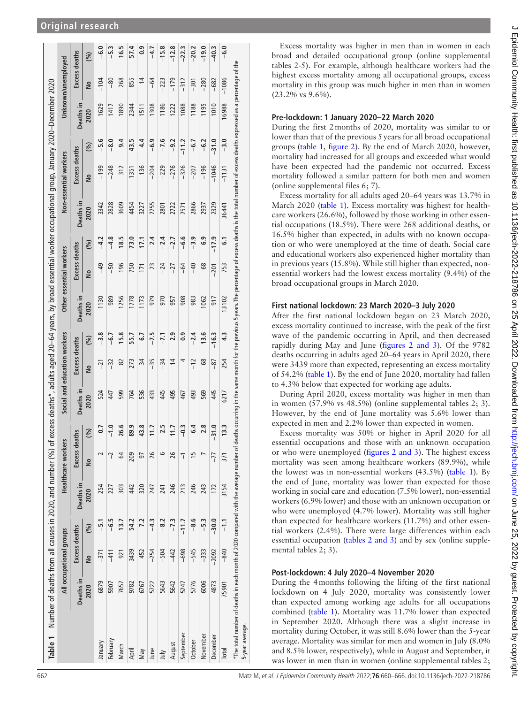|                                                                                                                                                                               |                              | Excess deaths | (%)<br><b>S</b> | $-6.0$<br>$-104$ | $-5.3$<br>$-80$ | 16.5<br>268 | 57.4<br>855 | $\frac{6}{3}$<br>$\overline{1}$ | $-4.7$<br>$-64$ | $-15.8$<br>$-223$ | $-12.8$<br>$-179$ | $-22.3$<br>$-312$ | $-20.2$<br>$-301$ | $-19.0$<br>$-280$ | $-40.3$<br>$-682$ | $-6.0$<br>$-1086$ |                                                                                                                                                                                                                                |
|-------------------------------------------------------------------------------------------------------------------------------------------------------------------------------|------------------------------|---------------|-----------------|------------------|-----------------|-------------|-------------|---------------------------------|-----------------|-------------------|-------------------|-------------------|-------------------|-------------------|-------------------|-------------------|--------------------------------------------------------------------------------------------------------------------------------------------------------------------------------------------------------------------------------|
|                                                                                                                                                                               | Unknown/unemployed           | Deaths in     | 2020            | 1629             | 1417            | 1890        | 2344        | 1511                            | 1308            | 1186              | 1222              | 1088              | 1188              | 1195              | 1010              | 16988             | *The total number of deaths in each month of 2020 compared with the average number of deaths occurring in the same month for the previous Syears. The percentage of excess deaths is the total number of excess deaths express |
|                                                                                                                                                                               |                              |               | (%)             | $-5.6$           | $-8.0$          | 9.4         | 43.5        | 4.4                             | $-6.9$          | $-7.6$            | $-9.2$            | $-11.2$           | $-6.7$            | $-6.2$            | $-31.0$           | $-3.0$            |                                                                                                                                                                                                                                |
|                                                                                                                                                                               | Non-essential workers        | Excess deaths | <b>S</b>        | $-199$           | $-248$          | 312         | 1351        | 136                             | $-204$          | $-229$            | $-276$            | $-326$            | $-207$            | $-196$            | $-1046$           | $-1131$           |                                                                                                                                                                                                                                |
|                                                                                                                                                                               |                              | Deaths in     | 2020            | 3342             | 2828            | 3609        | 4454        | 3227                            | 2755            | 2801              | 2722              | 2571              | 2866              | 2937              | 2329              | 36441             |                                                                                                                                                                                                                                |
|                                                                                                                                                                               |                              |               | (%)             | $-4.2$           | $-4.8$          | 18.5        | 73.0        | 17.1                            | 2.4             | $-2.4$            | $-2.7$            | $-6.6$            | $-3.9$            | 6.9               | $-17.9$           | <u>ت</u>          |                                                                                                                                                                                                                                |
|                                                                                                                                                                               | Other essential workers      | Excess deaths | <b>S</b>        | $-49$            | $-50$           | 196         | 750         | 171                             | 23              | $-24$             | $-27$             | $-64$             | $-40$             | 89                | $-201$            | 753               |                                                                                                                                                                                                                                |
|                                                                                                                                                                               |                              | Deaths in     | 2020            | 1130             | 989             | 1256        | 1778        | 1173                            | 979             | 970               | 957               | 908               | 983               | 1062              | 917               | 13102             |                                                                                                                                                                                                                                |
|                                                                                                                                                                               |                              |               | (%)             | $-3.8$           | $-6.7$          | 15.8        | 55.7        | 5.7                             | $-7.5$          | $-7.1$            | 2.9               | $\frac{9}{2}$     | $-2.4$            | 13.6              | $-16.3$           | 4.3               |                                                                                                                                                                                                                                |
|                                                                                                                                                                               |                              | Excess deaths | <b>S</b>        | $-21$            | $-32$           | ಜ           | 273         | 34                              | $-35$           | $-34$             | $\overline{4}$    | 4                 | $-12$             | 89                | $-87$             | 254               |                                                                                                                                                                                                                                |
|                                                                                                                                                                               | Social and education workers | Deaths in     | 2020            | 524              | 447             | 599         | 764         | 536                             | 433             | 445               | 495               | 467               | 493               | 569               | 445               | 6217              |                                                                                                                                                                                                                                |
|                                                                                                                                                                               |                              |               | (%)             | $\overline{0}$   | $-1.0$          | 26.6        | 89.9        | 43.8                            | 11.7            | 2.5               | 11.7              | $-0.3$            | 6.4               | 2.8               | 31.0              | 13.3              |                                                                                                                                                                                                                                |
|                                                                                                                                                                               | Healthcare workers           | Excess deaths | å               |                  | $\overline{a}$  | S           | 209         | 50                              | 26              | 6                 | 26                | 7                 | 5Ē                |                   | $-77$             | 371               |                                                                                                                                                                                                                                |
| Number of deaths from all causes in 2020, and number (%) of excess deaths*, adults aged 20–64 years, by broad essential worker occupational group, January 2020–December 2020 |                              | Deaths in     | 2020            | 254              | 227             | 303         | 442         | 320                             | 247             | 241               | 246               | 213               | 246               | 243               | 172               | 3154              |                                                                                                                                                                                                                                |
|                                                                                                                                                                               |                              |               | (%)             | $-5.1$           | $-6.5$          | 13.7        | 54.2        | 7.2                             | $-4.3$          | $-8.2$            | $-7.3$            | $-11.7$           | $-8.6$            | $-5.3$            | $-30.0$           | $-1.1$            |                                                                                                                                                                                                                                |
|                                                                                                                                                                               | All occupational groups      | Excess deaths | <b>S</b>        | $-371$           | $-411$          | 921         | 3439        | 452                             | $-254$          | $-504$            | $-442$            | $-698$            | $-545$            | $-333$            | $-2092$           | $-840$            |                                                                                                                                                                                                                                |
|                                                                                                                                                                               |                              | Deaths in     | 2020            | 6879             | 5907            | 7657        | 9782        | 6767                            | 5722            | 5643              | 5642              | 5247              | 5776              | 6006              | 4873              | 75901             |                                                                                                                                                                                                                                |
| Table 1                                                                                                                                                                       |                              |               |                 | January          | February        | March       | April       | Nay                             | June            | Ìщ                | August            | September         | October           | November          | December          | Total             |                                                                                                                                                                                                                                |

**Original research**

Excess mortality was higher in men than in women in each broad and detailed occupational group [\(online supplemental](https://dx.doi.org/10.1136/jech-2022-218786) [tables 2-5\)](https://dx.doi.org/10.1136/jech-2022-218786). For example, although healthcare workers had the highest excess mortality among all occupational groups, excess mortality in this group was much higher in men than in women (23.2% vs 9.6%).

#### **Pre-lockdown: 1 January 2020–22 March 2020**

During the first 2months of 2020, mortality was similar to or lower than that of the previous 5 years for all broad occupational groups ([table](#page-2-0) 1, [figure](#page-4-0) 2). By the end of March 2020, however, mortality had increased for all groups and exceeded what would have been expected had the pandemic not occurred. Excess mortality followed a similar pattern for both men and women ([online supplemental files 6; 7\)](https://dx.doi.org/10.1136/jech-2022-218786).

Excess mortality for all adults aged 20–64 years was 13.7% in March 2020 ([table](#page-2-0) 1). Excess mortality was highest for healthcare workers (26.6%), followed by those working in other essential occupations (18.5%). There were 268 additional deaths, or 16.5% higher than expected, in adults with no known occupation or who were unemployed at the time of death. Social care and educational workers also experienced higher mortality than in previous years (15.8%). While still higher than expected, nonessential workers had the lowest excess mortality (9.4%) of the broad occupational groups in March 2020.

#### **First national lockdown: 23 March 2020–3 July 2020**

After the first national lockdown began on 23 March 2020, excess mortality continued to increase, with the peak of the first wave of the pandemic occurring in April, and then decreased rapidly during May and June (figures [2 and 3](#page-4-0)). Of the 9782 deaths occurring in adults aged 20–64 years in April 2020, there were 3439 more than expected, representing an excess mortality of 54.2% ([table](#page-2-0) 1). By the end of June 2020, mortality had fallen to 4.3% below that expected for working age adults.

During April 2020, excess mortality was higher in men than in women (57.9% vs 48.5%) ([online supplemental tables 2; 3\)](https://dx.doi.org/10.1136/jech-2022-218786). However, by the end of June mortality was 5.6% lower than expected in men and 2.2% lower than expected in women.

Excess mortality was 50% or higher in April 2020 for all essential occupations and those with an unknown occupation or who were unemployed (figures [2 and 3](#page-4-0)). The highest excess mortality was seen among healthcare workers (89.9%), while the lowest was in non-essential workers (43.5%) ([table](#page-2-0) 1). By the end of June, mortality was lower than expected for those working in social care and education (7.5% lower), non-essential workers (6.9% lower) and those with an unknown occupation or who were unemployed (4.7% lower). Mortality was still higher than expected for healthcare workers (11.7%) and other essential workers (2.4%). There were large differences within each essential occupation (tables [2 and 3\)](#page-3-0) and by sex [\(online supple](https://dx.doi.org/10.1136/jech-2022-218786)[mental tables 2; 3](https://dx.doi.org/10.1136/jech-2022-218786)).

#### **Post-lockdown: 4 July 2020–4 November 2020**

<span id="page-2-0"></span>During the 4months following the lifting of the first national lockdown on 4 July 2020, mortality was consistently lower than expected among working age adults for all occupations combined ([table](#page-2-0) 1). Mortality was 11.7% lower than expected in September 2020. Although there was a slight increase in mortality during October, it was still 8.6% lower than the 5-year average. Mortality was similar for men and women in July (8.0% and 8.5% lower, respectively), while in August and September, it was lower in men than in women ([online supplemental tables 2;](https://dx.doi.org/10.1136/jech-2022-218786)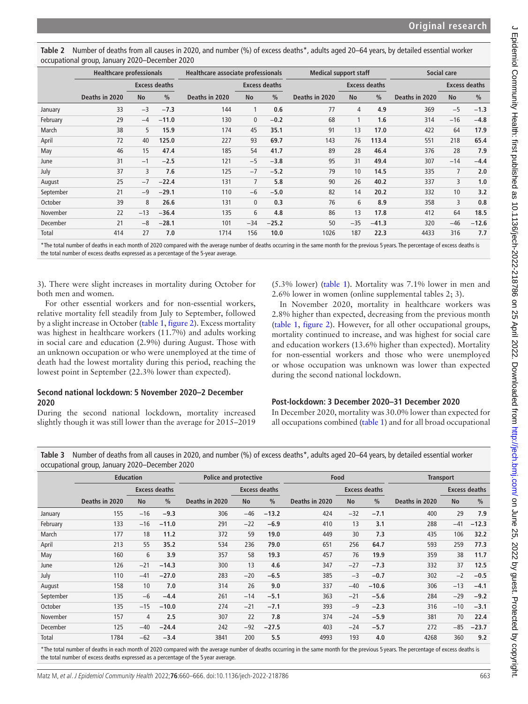| $\frac{1}{2}$ |                                 |           |                      |                                    |                |                      |                              |                  |               |                      |                |               |  |
|---------------|---------------------------------|-----------|----------------------|------------------------------------|----------------|----------------------|------------------------------|------------------|---------------|----------------------|----------------|---------------|--|
|               | <b>Healthcare professionals</b> |           |                      | Healthcare associate professionals |                |                      | <b>Medical support staff</b> |                  |               | Social care          |                |               |  |
|               | <b>Excess deaths</b>            |           | <b>Excess deaths</b> |                                    |                | <b>Excess deaths</b> |                              |                  |               | <b>Excess deaths</b> |                |               |  |
|               | Deaths in 2020                  | <b>No</b> | $\frac{0}{0}$        | Deaths in 2020                     | <b>No</b>      | $\frac{0}{0}$        | Deaths in 2020               | <b>No</b>        | $\frac{0}{0}$ | Deaths in 2020       | <b>No</b>      | $\frac{0}{0}$ |  |
| January       | 33                              | $-3$      | $-7.3$               | 144                                | $\mathbf{1}$   | 0.6                  | 77                           | 4                | 4.9           | 369                  | $-5$           | $-1.3$        |  |
| February      | 29                              | $-4$      | $-11.0$              | 130                                | $\mathbf 0$    | $-0.2$               | 68                           |                  | 1.6           | 314                  | $-16$          | $-4.8$        |  |
| March         | 38                              | 5         | 15.9                 | 174                                | 45             | 35.1                 | 91                           | 13               | 17.0          | 422                  | 64             | 17.9          |  |
| April         | 72                              | 40        | 125.0                | 227                                | 93             | 69.7                 | 143                          | 76               | 113.4         | 551                  | 218            | 65.4          |  |
| May           | 46                              | 15        | 47.4                 | 185                                | 54             | 41.7                 | 89                           | 28               | 46.4          | 376                  | 28             | 7.9           |  |
| June          | 31                              | $-1$      | $-2.5$               | 121                                | $-5$           | $-3.8$               | 95                           | 31               | 49.4          | 307                  | $-14$          | $-4.4$        |  |
| July          | 37                              | 3         | 7.6                  | 125                                | $-7$           | $-5.2$               | 79                           | 10 <sup>10</sup> | 14.5          | 335                  | $\overline{7}$ | 2.0           |  |
| August        | 25                              | $-7$      | $-22.4$              | 131                                | $\overline{7}$ | 5.8                  | 90                           | 26               | 40.2          | 337                  | 3              | 1.0           |  |
| September     | 21                              | $-9$      | $-29.1$              | 110                                | $-6$           | $-5.0$               | 82                           | 14               | 20.2          | 332                  | 10             | 3.2           |  |
| October       | 39                              | 8         | 26.6                 | 131                                | $\mathbf{0}$   | 0.3                  | 76                           | 6                | 8.9           | 358                  | 3              | 0.8           |  |
| November      | 22                              | $-13$     | $-36.4$              | 135                                | 6              | 4.8                  | 86                           | 13               | 17.8          | 412                  | 64             | 18.5          |  |
| December      | 21                              | $-8$      | $-28.1$              | 101                                | $-34$          | $-25.2$              | 50                           | $-35$            | $-41.3$       | 320                  | $-46$          | $-12.6$       |  |
| Total         | 414                             | 27        | 7.0                  | 1714                               | 156            | 10.0                 | 1026                         | 187              | 22.3          | 4433                 | 316            | 7.7           |  |

<span id="page-3-0"></span>Table 2 Number of deaths from all causes in 2020, and number (%) of excess deaths<sup>\*</sup>, adults aged 20–64 years, by detailed essential worker occupational group, January 2020–December 2020

\*The total number of deaths in each month of 2020 compared with the average number of deaths occurring in the same month for the previous 5 years. The percentage of excess deaths is the total number of excess deaths expressed as a percentage of the 5-year average.

[3](https://dx.doi.org/10.1136/jech-2022-218786)). There were slight increases in mortality during October for both men and women.

For other essential workers and for non-essential workers, relative mortality fell steadily from July to September, followed by a slight increase in October ([table](#page-2-0) 1, [figure](#page-4-0) 2). Excess mortality was highest in healthcare workers (11.7%) and adults working in social care and education (2.9%) during August. Those with an unknown occupation or who were unemployed at the time of death had the lowest mortality during this period, reaching the lowest point in September (22.3% lower than expected).

### **Second national lockdown: 5 November 2020–2 December 2020**

During the second national lockdown, mortality increased slightly though it was still lower than the average for 2015–2019

(5.3% lower) [\(table](#page-2-0) 1). Mortality was 7.1% lower in men and 2.6% lower in women [\(online supplemental tables 2; 3](https://dx.doi.org/10.1136/jech-2022-218786)).

In November 2020, mortality in healthcare workers was 2.8% higher than expected, decreasing from the previous month ([table](#page-2-0) 1, [figure](#page-4-0) 2). However, for all other occupational groups, mortality continued to increase, and was highest for social care and education workers (13.6% higher than expected). Mortality for non-essential workers and those who were unemployed or whose occupation was unknown was lower than expected during the second national lockdown.

# **Post-lockdown: 3 December 2020–31 December 2020**

In December 2020, mortality was 30.0% lower than expected for all occupations combined [\(table](#page-2-0) 1) and for all broad occupational

<span id="page-3-1"></span>**Table 3** Number of deaths from all causes in 2020, and number (%) of excess deaths\*, adults aged 20–64 years, by detailed essential worker occupational group, January 2020–December 2020

|           |                      | <b>Education</b> |                      | <b>Police and protective</b> |           |               |                | Food                 |               | <b>Transport</b>     |           |               |  |
|-----------|----------------------|------------------|----------------------|------------------------------|-----------|---------------|----------------|----------------------|---------------|----------------------|-----------|---------------|--|
|           | <b>Excess deaths</b> |                  | <b>Excess deaths</b> |                              |           |               |                | <b>Excess deaths</b> |               | <b>Excess deaths</b> |           |               |  |
|           | Deaths in 2020       | <b>No</b>        | $\frac{0}{0}$        | Deaths in 2020               | <b>No</b> | $\frac{0}{0}$ | Deaths in 2020 | <b>No</b>            | $\frac{0}{0}$ | Deaths in 2020       | <b>No</b> | $\frac{0}{0}$ |  |
| January   | 155                  | $-16$            | $-9.3$               | 306                          | $-46$     | $-13.2$       | 424            | $-32$                | $-7.1$        | 400                  | 29        | 7.9           |  |
| February  | 133                  | $-16$            | $-11.0$              | 291                          | $-22$     | $-6.9$        | 410            | 13                   | 3.1           | 288                  | $-41$     | $-12.3$       |  |
| March     | 177                  | 18               | 11.2                 | 372                          | 59        | 19.0          | 449            | 30                   | 7.3           | 435                  | 106       | 32.2          |  |
| April     | 213                  | 55               | 35.2                 | 534                          | 236       | 79.0          | 651            | 256                  | 64.7          | 593                  | 259       | 77.3          |  |
| May       | 160                  | 6                | 3.9                  | 357                          | 58        | 19.3          | 457            | 76                   | 19.9          | 359                  | 38        | 11.7          |  |
| June      | 126                  | $-21$            | $-14.3$              | 300                          | 13        | 4.6           | 347            | $-27$                | $-7.3$        | 332                  | 37        | 12.5          |  |
| July      | 110                  | $-41$            | $-27.0$              | 283                          | $-20$     | $-6.5$        | 385            | $-3$                 | $-0.7$        | 302                  | $-2$      | $-0.5$        |  |
| August    | 158                  | 10               | 7.0                  | 314                          | 26        | 9.0           | 337            | $-40$                | $-10.6$       | 306                  | $-13$     | $-4.1$        |  |
| September | 135                  | $-6$             | $-4.4$               | 261                          | $-14$     | $-5.1$        | 363            | $-21$                | $-5.6$        | 284                  | $-29$     | $-9.2$        |  |
| October   | 135                  | $-15$            | $-10.0$              | 274                          | $-21$     | $-7.1$        | 393            | $-9$                 | $-2.3$        | 316                  | $-10$     | $-3.1$        |  |
| November  | 157                  | 4                | 2.5                  | 307                          | 22        | 7.8           | 374            | $-24$                | $-5.9$        | 381                  | 70        | 22.4          |  |
| December  | 125                  | $-40$            | $-24.4$              | 242                          | $-92$     | $-27.5$       | 403            | $-24$                | $-5.7$        | 272                  | $-85$     | $-23.7$       |  |
| Total     | 1784                 | $-62$            | $-3.4$               | 3841                         | 200       | 5.5           | 4993           | 193                  | 4.0           | 4268                 | 360       | 9.2           |  |
|           |                      |                  |                      |                              |           |               |                |                      |               |                      |           |               |  |

\*The total number of deaths in each month of 2020 compared with the average number of deaths occurring in the same month for the previous 5 years. The percentage of excess deaths is the total number of excess deaths expressed as a percentage of the 5 year average.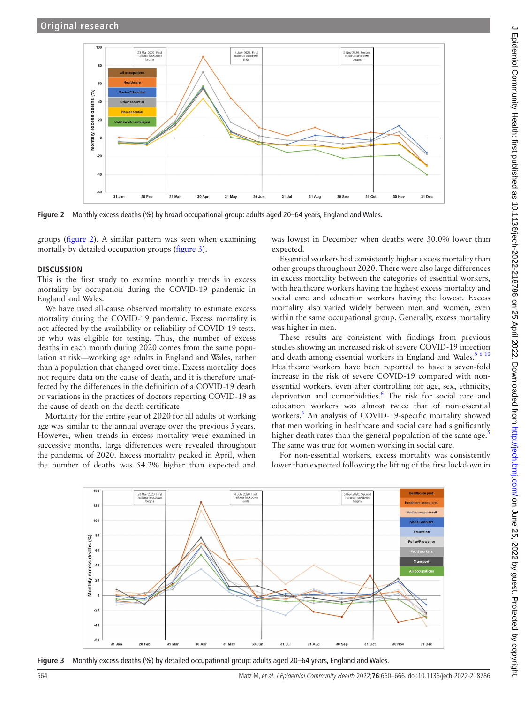

<span id="page-4-0"></span>**Figure 2** Monthly excess deaths (%) by broad occupational group: adults aged 20–64 years, England and Wales.

groups ([figure](#page-4-0) 2). A similar pattern was seen when examining mortally by detailed occupation groups ([figure](#page-4-1) 3).

#### **DISCUSSION**

This is the first study to examine monthly trends in excess mortality by occupation during the COVID-19 pandemic in England and Wales.

We have used all-cause observed mortality to estimate excess mortality during the COVID-19 pandemic. Excess mortality is not affected by the availability or reliability of COVID-19 tests, or who was eligible for testing. Thus, the number of excess deaths in each month during 2020 comes from the same population at risk—working age adults in England and Wales, rather than a population that changed over time. Excess mortality does not require data on the cause of death, and it is therefore unaffected by the differences in the definition of a COVID-19 death or variations in the practices of doctors reporting COVID-19 as the cause of death on the death certificate.

Mortality for the entire year of 2020 for all adults of working age was similar to the annual average over the previous 5years. However, when trends in excess mortality were examined in successive months, large differences were revealed throughout the pandemic of 2020. Excess mortality peaked in April, when the number of deaths was 54.2% higher than expected and

was lowest in December when deaths were 30.0% lower than expected.

Essential workers had consistently higher excess mortality than other groups throughout 2020. There were also large differences in excess mortality between the categories of essential workers, with healthcare workers having the highest excess mortality and social care and education workers having the lowest. Excess mortality also varied widely between men and women, even within the same occupational group. Generally, excess mortality was higher in men.

These results are consistent with findings from previous studies showing an increased risk of severe COVID-19 infection and death among essential workers in England and Wales.<sup>[5 6 10](#page-6-1)</sup> Healthcare workers have been reported to have a seven-fold increase in the risk of severe COVID-19 compared with nonessential workers, even after controlling for age, sex, ethnicity, deprivation and comorbidities.<sup>[6](#page-6-3)</sup> The risk for social care and education workers was almost twice that of non-essential workers.<sup>[6](#page-6-3)</sup> An analysis of COVID-19-specific mortality showed that men working in healthcare and social care had significantly higher death rates than the general population of the same age. $\frac{5}{5}$  $\frac{5}{5}$  $\frac{5}{5}$ The same was true for women working in social care.

For non-essential workers, excess mortality was consistently lower than expected following the lifting of the first lockdown in



<span id="page-4-1"></span>**Figure 3** Monthly excess deaths (%) by detailed occupational group: adults aged 20–64 years, England and Wales.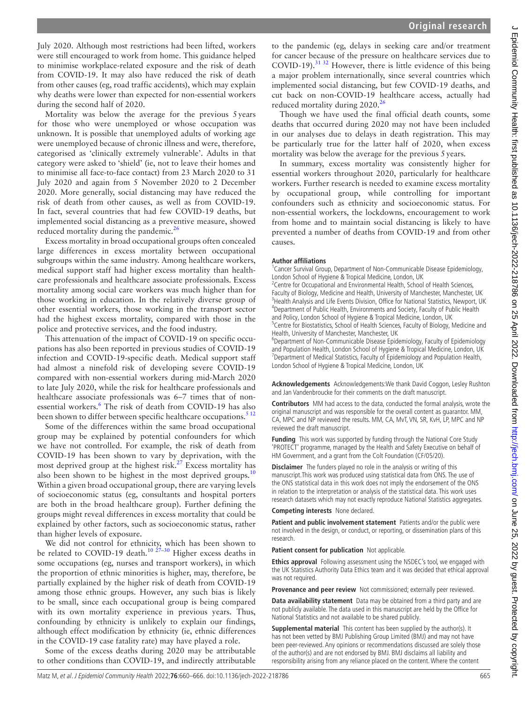July 2020. Although most restrictions had been lifted, workers were still encouraged to work from home. This guidance helped to minimise workplace-related exposure and the risk of death from COVID-19. It may also have reduced the risk of death from other causes (eg, road traffic accidents), which may explain why deaths were lower than expected for non-essential workers during the second half of 2020.

Mortality was below the average for the previous 5years for those who were unemployed or whose occupation was unknown. It is possible that unemployed adults of working age were unemployed because of chronic illness and were, therefore, categorised as 'clinically extremely vulnerable'. Adults in that category were asked to 'shield' (ie, not to leave their homes and to minimise all face-to-face contact) from 23 March 2020 to 31 July 2020 and again from 5 November 2020 to 2 December 2020. More generally, social distancing may have reduced the risk of death from other causes, as well as from COVID-19. In fact, several countries that had few COVID-19 deaths, but implemented social distancing as a preventive measure, showed reduced mortality during the pandemic.<sup>[26](#page-6-8)</sup>

Excess mortality in broad occupational groups often concealed large differences in excess mortality between occupational subgroups within the same industry. Among healthcare workers, medical support staff had higher excess mortality than healthcare professionals and healthcare associate professionals. Excess mortality among social care workers was much higher than for those working in education. In the relatively diverse group of other essential workers, those working in the transport sector had the highest excess mortality, compared with those in the police and protective services, and the food industry.

This attenuation of the impact of COVID-19 on specific occupations has also been reported in previous studies of COVID-19 infection and COVID-19-specific death. Medical support staff had almost a ninefold risk of developing severe COVID-19 compared with non-essential workers during mid-March 2020 to late July 2020, while the risk for healthcare professionals and healthcare associate professionals was 6–7 times that of non-essential workers.<sup>[6](#page-6-3)</sup> The risk of death from COVID-19 has also been shown to differ between specific healthcare occupations.<sup>512</sup>

Some of the differences within the same broad occupational group may be explained by potential confounders for which we have not controlled. For example, the risk of death from COVID-19 has been shown to vary by deprivation, with the most deprived group at the highest risk. $27$  Excess mortality has also been shown to be highest in the most deprived groups.<sup>[10](#page-6-6)</sup> Within a given broad occupational group, there are varying levels of socioeconomic status (eg, consultants and hospital porters are both in the broad healthcare group). Further defining the groups might reveal differences in excess mortality that could be explained by other factors, such as socioeconomic status, rather than higher levels of exposure.

We did not control for ethnicity, which has been shown to be related to COVID-19 death.<sup>10 27-30</sup> Higher excess deaths in some occupations (eg, nurses and transport workers), in which the proportion of ethnic minorities is higher, may, therefore, be partially explained by the higher risk of death from COVID-19 among those ethnic groups. However, any such bias is likely to be small, since each occupational group is being compared with its own mortality experience in previous years. Thus, confounding by ethnicity is unlikely to explain our findings, although effect modification by ethnicity (ie, ethnic differences in the COVID-19 case fatality rate) may have played a role.

Some of the excess deaths during 2020 may be attributable to other conditions than COVID-19, and indirectly attributable

to the pandemic (eg, delays in seeking care and/or treatment for cancer because of the pressure on healthcare services due to COVID-19).<sup>31 32</sup> However, there is little evidence of this being a major problem internationally, since several countries which implemented social distancing, but few COVID-19 deaths, and cut back on non-COVID-19 healthcare access, actually had reduced mortality during 2020.<sup>[26](#page-6-8)</sup>

Though we have used the final official death counts, some deaths that occurred during 2020 may not have been included in our analyses due to delays in death registration. This may be particularly true for the latter half of 2020, when excess mortality was below the average for the previous 5years.

In summary, excess mortality was consistently higher for essential workers throughout 2020, particularly for healthcare workers. Further research is needed to examine excess mortality by occupational group, while controlling for important confounders such as ethnicity and socioeconomic status. For non-essential workers, the lockdowns, encouragement to work from home and to maintain social distancing is likely to have prevented a number of deaths from COVID-19 and from other causes.

#### **Author affiliations**

<sup>1</sup> Cancer Survival Group, Department of Non-Communicable Disease Epidemiology, London School of Hygiene & Tropical Medicine, London, UK

<sup>2</sup> Centre for Occupational and Environmental Health, School of Health Sciences, Faculty of Biology, Medicine and Health, University of Manchester, Manchester, UK <sup>3</sup>Health Analysis and Life Events Division, Office for National Statistics, Newport, UK 4 Department of Public Health, Environments and Society, Faculty of Public Health and Policy, London School of Hygiene & Tropical Medicine, London, UK <sup>5</sup>Centre for Biostatistics, School of Health Sciences, Faculty of Biology, Medicine and Health, University of Manchester, Manchester, UK

6 Department of Non-Communicable Disease Epidemiology, Faculty of Epidemiology and Population Health, London School of Hygiene & Tropical Medicine, London, UK <sup>7</sup>Department of Medical Statistics, Faculty of Epidemiology and Population Health, London School of Hygiene & Tropical Medicine, London, UK

**Acknowledgements** Acknowledgements:We thank David Coggon, Lesley Rushton and Jan Vandenbroucke for their comments on the draft manuscript.

**Contributors** MM had access to the data, conducted the formal analysis, wrote the original manuscript and was responsible for the overall content as guarantor. MM, CA, MPC and NP reviewed the results. MM, CA, MvT, VN, SR, KvH, LP, MPC and NP reviewed the draft manuscript.

**Funding** This work was supported by funding through the National Core Study 'PROTECT' programme, managed by the Health and Safety Executive on behalf of HM Government, and a grant from the Colt Foundation (CF/05/20).

**Disclaimer** The funders played no role in the analysis or writing of this manuscript.This work was produced using statistical data from ONS. The use of the ONS statistical data in this work does not imply the endorsement of the ONS in relation to the interpretation or analysis of the statistical data. This work uses research datasets which may not exactly reproduce National Statistics aggregates.

**Competing interests** None declared.

**Patient and public involvement statement** Patients and/or the public were not involved in the design, or conduct, or reporting, or dissemination plans of this research.

**Patient consent for publication** Not applicable.

**Ethics approval** Following assessment using the NSDEC's tool, we engaged with the UK Statistics Authority Data Ethics team and it was decided that ethical approval was not required.

**Provenance and peer review** Not commissioned; externally peer reviewed.

**Data availability statement** Data may be obtained from a third party and are not publicly available. The data used in this manuscript are held by the Office for National Statistics and not available to be shared publicly.

**Supplemental material** This content has been supplied by the author(s). It has not been vetted by BMJ Publishing Group Limited (BMJ) and may not have been peer-reviewed. Any opinions or recommendations discussed are solely those of the author(s) and are not endorsed by BMJ. BMJ disclaims all liability and responsibility arising from any reliance placed on the content. Where the content